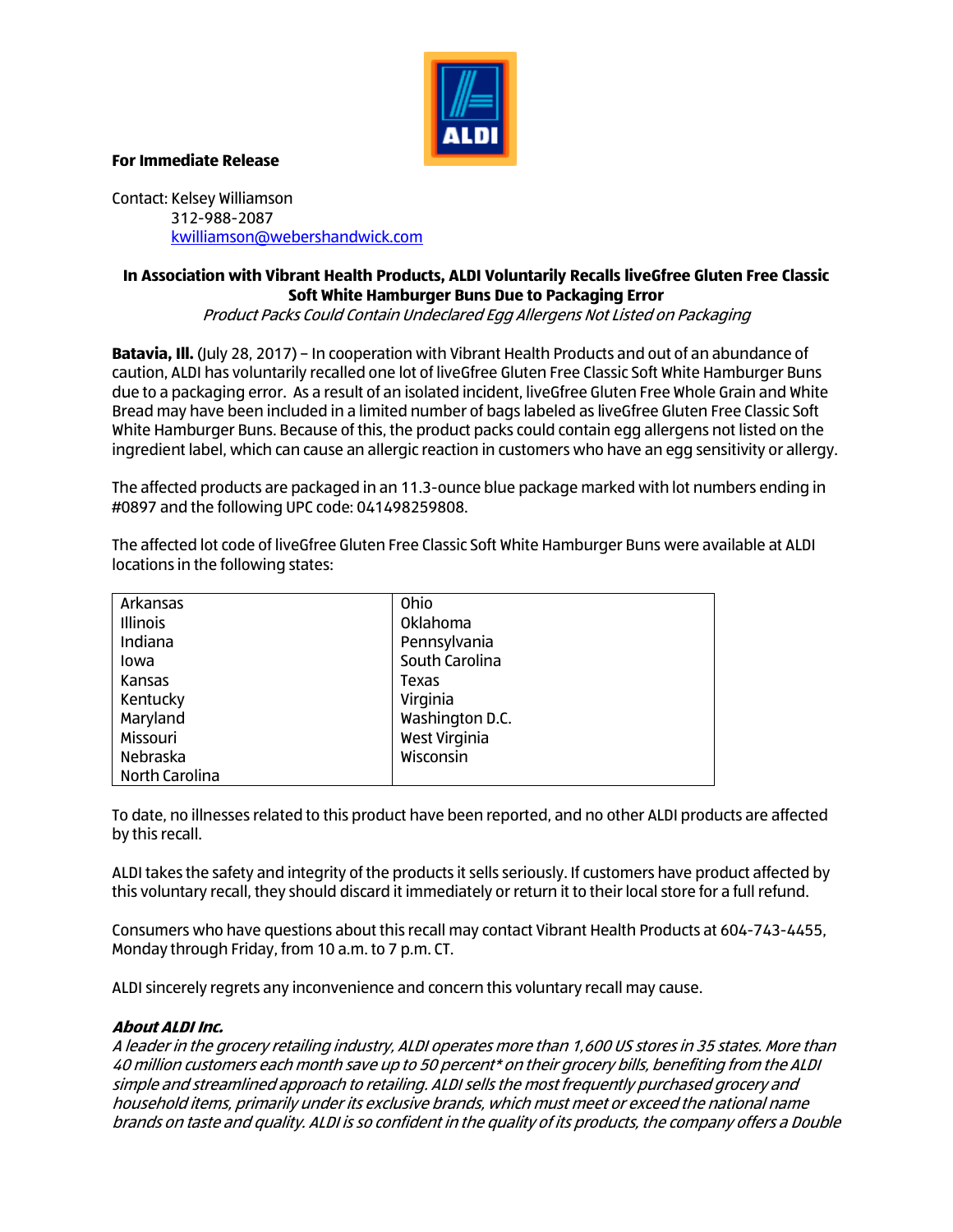

## **For Immediate Release**

Contact: Kelsey Williamson 312-988-2087 [kwilliamson@webershandwick.com](mailto:kwilliamson@webershandwick.com)

## **In Association with Vibrant Health Products, ALDI Voluntarily Recalls liveGfree Gluten Free Classic Soft White Hamburger Buns Due to Packaging Error**

Product Packs Could Contain Undeclared Egg Allergens Not Listed on Packaging

**Batavia, Ill.** (July 28, 2017) – In cooperation with Vibrant Health Products and out of an abundance of caution, ALDI has voluntarily recalled one lot of liveGfree Gluten Free Classic Soft White Hamburger Buns due to a packaging error. As a result of an isolated incident, liveGfree Gluten Free Whole Grain and White Bread may have been included in a limited number of bags labeled as liveGfree Gluten Free Classic Soft White Hamburger Buns. Because of this, the product packs could contain egg allergens not listed on the ingredient label, which can cause an allergic reaction in customers who have an egg sensitivity or allergy.

The affected products are packaged in an 11.3-ounce blue package marked with lot numbers ending in #0897 and the following UPC code: 041498259808.

The affected lot code of liveGfree Gluten Free Classic Soft White Hamburger Buns were available at ALDI locations in the following states:

| Arkansas        | Ohio            |
|-----------------|-----------------|
| <b>Illinois</b> | Oklahoma        |
| Indiana         | Pennsylvania    |
| lowa            | South Carolina  |
| Kansas          | Texas           |
| Kentucky        | Virginia        |
| Maryland        | Washington D.C. |
| Missouri        | West Virginia   |
| Nebraska        | Wisconsin       |
| North Carolina  |                 |

To date, no illnesses related to this product have been reported, and no other ALDI products are affected by this recall.

ALDI takes the safety and integrity of the products it sells seriously. If customers have product affected by this voluntary recall, they should discard it immediately or return it to their local store for a full refund.

Consumers who have questions about this recall may contact Vibrant Health Products at 604-743-4455, Monday through Friday, from 10 a.m. to 7 p.m. CT.

ALDI sincerely regrets any inconvenience and concern this voluntary recall may cause.

## **About ALDI Inc.**

A leader in the grocery retailing industry, ALDI operates more than 1,600 US stores in 35 states. More than 40 million customers each month save up to 50 percent\* on their grocery bills, benefiting from the ALDI simple and streamlined approach to retailing. ALDI sells the most frequently purchased grocery and household items, primarily under its exclusive brands, which must meet or exceed the national name brands on taste and quality. ALDI is so confident in the quality of its products, the company offers a Double